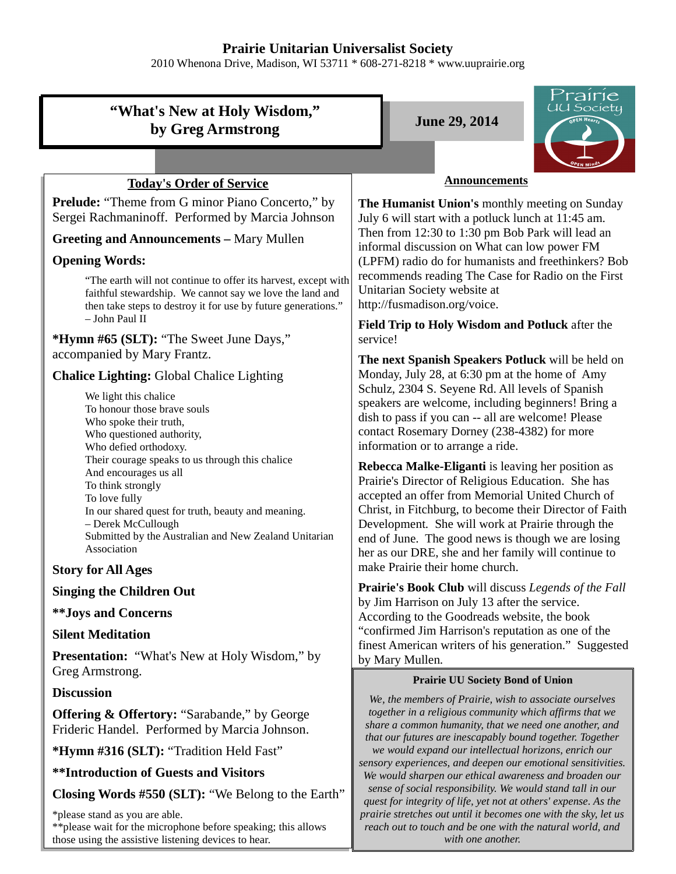## **Prairie Unitarian Universalist Society**

2010 Whenona Drive, Madison, WI 53711 \* 608-271-8218 \* www.uuprairie.org

| "What's New at Holy Wisdom,"<br>by Greg Armstrong                                                                                                                                                                                                                  | 'rairie<br>UU Society<br><b>June 29, 2014</b>                                                                                                                                                                                                                                                                                                                                            |
|--------------------------------------------------------------------------------------------------------------------------------------------------------------------------------------------------------------------------------------------------------------------|------------------------------------------------------------------------------------------------------------------------------------------------------------------------------------------------------------------------------------------------------------------------------------------------------------------------------------------------------------------------------------------|
|                                                                                                                                                                                                                                                                    |                                                                                                                                                                                                                                                                                                                                                                                          |
| <b>Today's Order of Service</b>                                                                                                                                                                                                                                    | <b>Announcements</b>                                                                                                                                                                                                                                                                                                                                                                     |
| <b>Prelude:</b> "Theme from G minor Piano Concerto," by<br>Sergei Rachmaninoff. Performed by Marcia Johnson<br><b>Greeting and Announcements - Mary Mullen</b>                                                                                                     | The Humanist Union's monthly meeting on Sunday<br>July 6 will start with a potluck lunch at 11:45 am.<br>Then from 12:30 to 1:30 pm Bob Park will lead an<br>informal discussion on What can low power FM                                                                                                                                                                                |
| <b>Opening Words:</b>                                                                                                                                                                                                                                              | (LPFM) radio do for humanists and freethinkers? Bob                                                                                                                                                                                                                                                                                                                                      |
| "The earth will not continue to offer its harvest, except with<br>faithful stewardship. We cannot say we love the land and<br>then take steps to destroy it for use by future generations."<br>$-$ John Paul II                                                    | recommends reading The Case for Radio on the First<br>Unitarian Society website at<br>http://fusmadison.org/voice.                                                                                                                                                                                                                                                                       |
|                                                                                                                                                                                                                                                                    | Field Trip to Holy Wisdom and Potluck after the<br>service!                                                                                                                                                                                                                                                                                                                              |
| *Hymn #65 (SLT): "The Sweet June Days,"<br>accompanied by Mary Frantz.                                                                                                                                                                                             |                                                                                                                                                                                                                                                                                                                                                                                          |
| <b>Chalice Lighting: Global Chalice Lighting</b>                                                                                                                                                                                                                   | The next Spanish Speakers Potluck will be held on<br>Monday, July 28, at 6:30 pm at the home of Amy                                                                                                                                                                                                                                                                                      |
| We light this chalice<br>To honour those brave souls<br>Who spoke their truth,<br>Who questioned authority,<br>Who defied orthodoxy.                                                                                                                               | Schulz, 2304 S. Seyene Rd. All levels of Spanish<br>speakers are welcome, including beginners! Bring a<br>dish to pass if you can -- all are welcome! Please<br>contact Rosemary Dorney (238-4382) for more<br>information or to arrange a ride.                                                                                                                                         |
| Their courage speaks to us through this chalice<br>And encourages us all<br>To think strongly<br>To love fully<br>In our shared quest for truth, beauty and meaning.<br>- Derek McCullough<br>Submitted by the Australian and New Zealand Unitarian<br>Association | Rebecca Malke-Eliganti is leaving her position as<br>Prairie's Director of Religious Education. She has<br>accepted an offer from Memorial United Church of<br>Christ, in Fitchburg, to become their Director of Faith<br>Development. She will work at Prairie through the<br>end of June. The good news is though we are losing<br>her as our DRE, she and her family will continue to |
| <b>Story for All Ages</b>                                                                                                                                                                                                                                          | make Prairie their home church.                                                                                                                                                                                                                                                                                                                                                          |
| <b>Singing the Children Out</b>                                                                                                                                                                                                                                    | Prairie's Book Club will discuss Legends of the Fall<br>by Jim Harrison on July 13 after the service.                                                                                                                                                                                                                                                                                    |
| <b>**Joys and Concerns</b><br><b>Silent Meditation</b>                                                                                                                                                                                                             | According to the Goodreads website, the book<br>"confirmed Jim Harrison's reputation as one of the                                                                                                                                                                                                                                                                                       |
| <b>Presentation:</b> "What's New at Holy Wisdom," by                                                                                                                                                                                                               | finest American writers of his generation." Suggested                                                                                                                                                                                                                                                                                                                                    |
| Greg Armstrong.                                                                                                                                                                                                                                                    | by Mary Mullen.<br><b>Prairie UU Society Bond of Union</b>                                                                                                                                                                                                                                                                                                                               |
| <b>Discussion</b>                                                                                                                                                                                                                                                  |                                                                                                                                                                                                                                                                                                                                                                                          |
| <b>Offering &amp; Offertory: "Sarabande," by George</b><br>Frideric Handel. Performed by Marcia Johnson.                                                                                                                                                           | We, the members of Prairie, wish to associate ourselves<br>together in a religious community which affirms that we<br>share a common humanity, that we need one another, and<br>that our futures are inescapably bound together. Together                                                                                                                                                |
| *Hymn #316 (SLT): "Tradition Held Fast"                                                                                                                                                                                                                            | we would expand our intellectual horizons, enrich our                                                                                                                                                                                                                                                                                                                                    |
| <b>**Introduction of Guests and Visitors</b>                                                                                                                                                                                                                       | sensory experiences, and deepen our emotional sensitivities.<br>We would sharpen our ethical awareness and broaden our                                                                                                                                                                                                                                                                   |
| Closing Words #550 (SLT): "We Belong to the Earth"                                                                                                                                                                                                                 | sense of social responsibility. We would stand tall in our<br>quest for integrity of life, yet not at others' expense. As the                                                                                                                                                                                                                                                            |
| *please stand as you are able.                                                                                                                                                                                                                                     | prairie stretches out until it becomes one with the sky, let us                                                                                                                                                                                                                                                                                                                          |

\*\*please wait for the microphone before speaking; this allows those using the assistive listening devices to hear.

*reach out to touch and be one with the natural world, and with one another.*